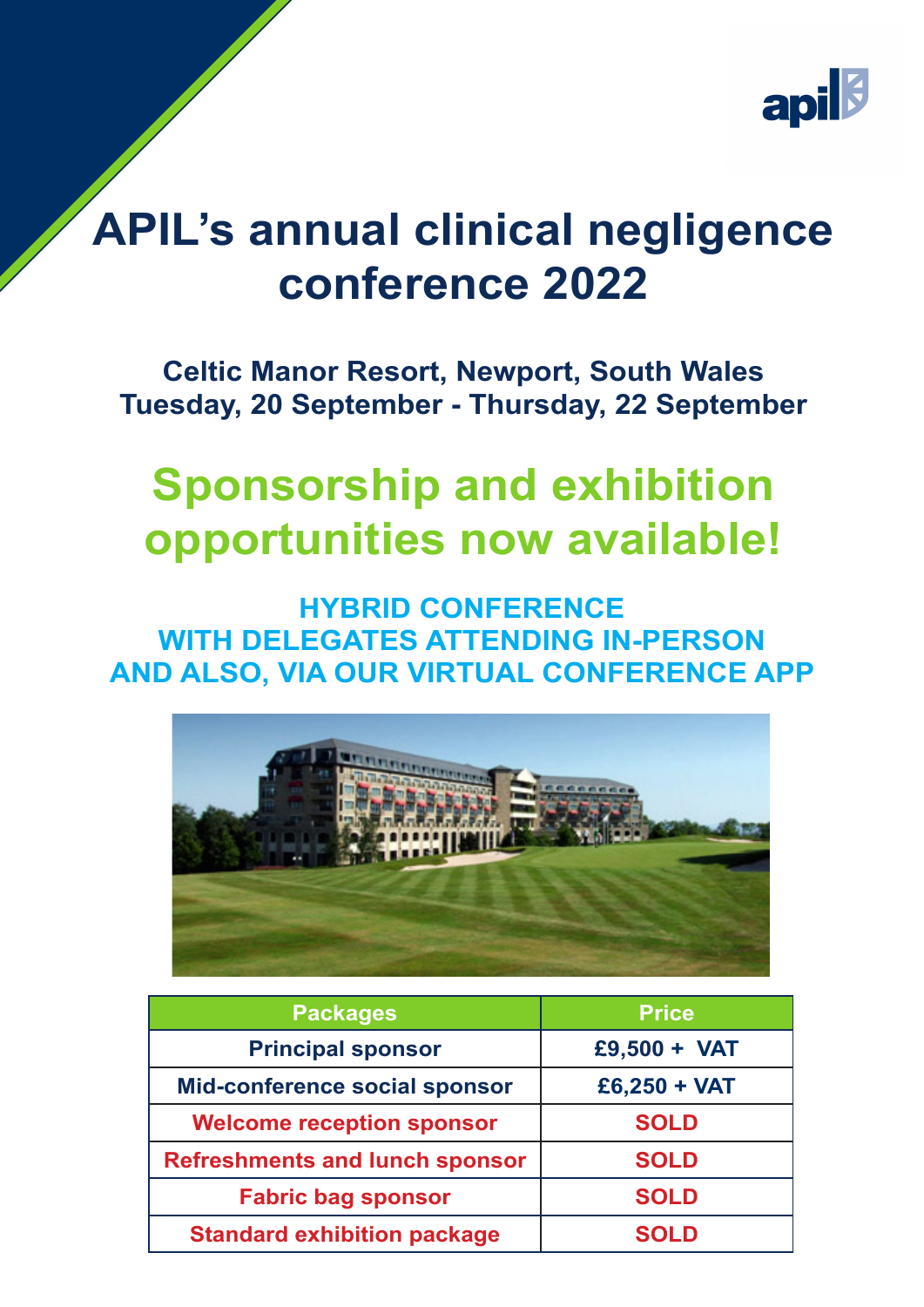

# **APIL's annual clinical negligence conference 2022**

### **Celtic Manor Resort, Newport, South Wales Tuesday, 20 September - Thursday, 22 September**

# **Sponsorship and exhibition opportunities now available!**

#### **HYBRID CONFERENCE WITH DELEGATES ATTENDING IN-PERSON AND ALSO, VIA OUR VIRTUAL CONFERENCE APP**



| <b>Packages</b>                       | <b>Price</b>   |  |
|---------------------------------------|----------------|--|
| <b>Principal sponsor</b>              | $£9,500 + VAT$ |  |
| Mid-conference social sponsor         | $£6,250 + VAT$ |  |
| <b>Welcome reception sponsor</b>      | <b>SOLD</b>    |  |
| <b>Refreshments and lunch sponsor</b> | <b>SOLD</b>    |  |
| <b>Fabric bag sponsor</b>             | <b>SOLD</b>    |  |
| <b>Standard exhibition package</b>    | <b>SOLD</b>    |  |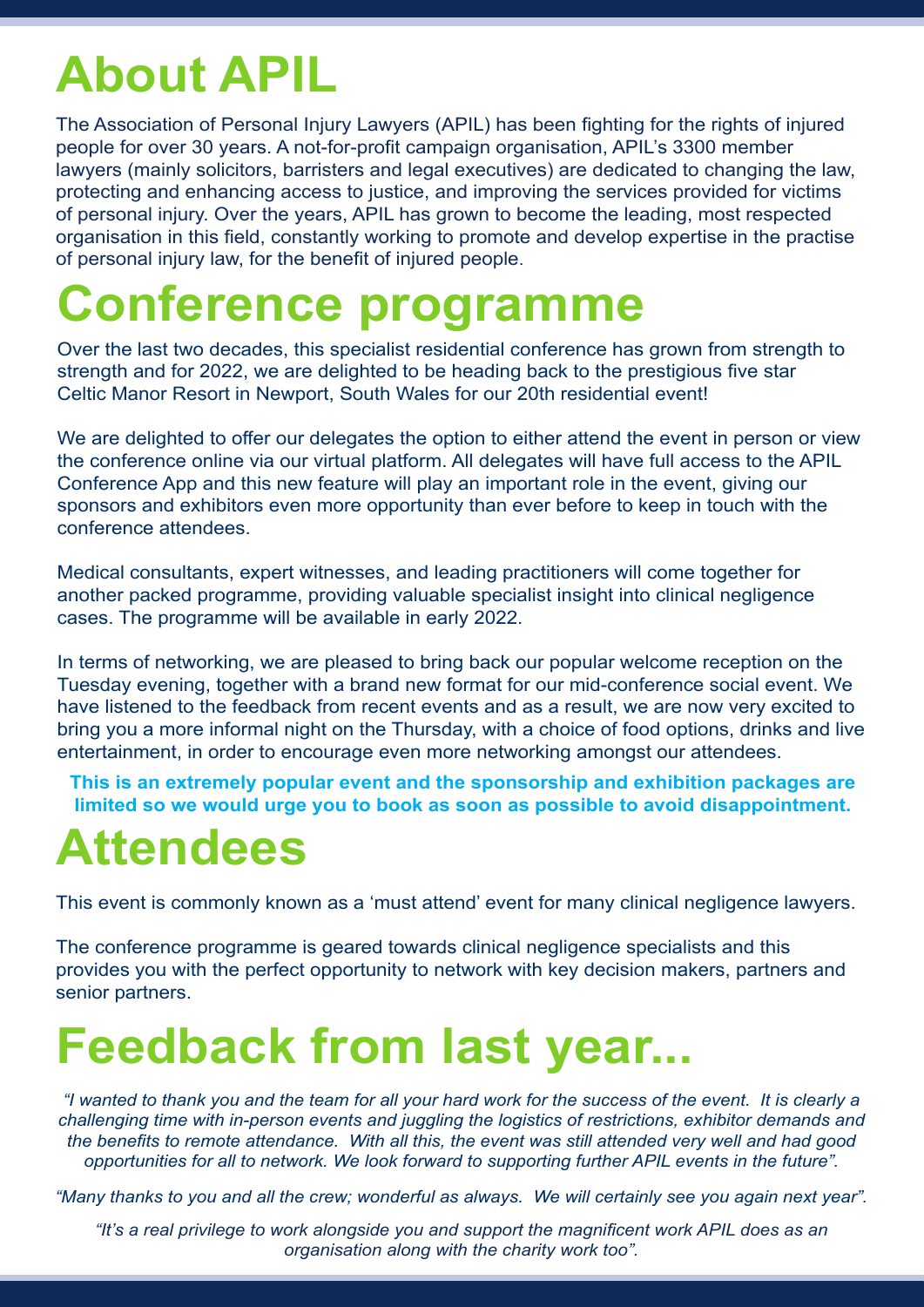# **About APIL**

The Association of Personal Injury Lawyers (APIL) has been fighting for the rights of injured people for over 30 years. A not-for-profit campaign organisation, APIL's 3300 member lawyers (mainly solicitors, barristers and legal executives) are dedicated to changing the law, protecting and enhancing access to justice, and improving the services provided for victims of personal injury. Over the years, APIL has grown to become the leading, most respected organisation in this field, constantly working to promote and develop expertise in the practise of personal injury law, for the benefit of injured people.

# **Conference programme**

Over the last two decades, this specialist residential conference has grown from strength to strength and for 2022, we are delighted to be heading back to the prestigious five star Celtic Manor Resort in Newport, South Wales for our 20th residential event!

We are delighted to offer our delegates the option to either attend the event in person or view the conference online via our virtual platform. All delegates will have full access to the APIL Conference App and this new feature will play an important role in the event, giving our sponsors and exhibitors even more opportunity than ever before to keep in touch with the conference attendees.

Medical consultants, expert witnesses, and leading practitioners will come together for another packed programme, providing valuable specialist insight into clinical negligence cases. The programme will be available in early 2022.

In terms of networking, we are pleased to bring back our popular welcome reception on the Tuesday evening, together with a brand new format for our mid-conference social event. We have listened to the feedback from recent events and as a result, we are now very excited to bring you a more informal night on the Thursday, with a choice of food options, drinks and live entertainment, in order to encourage even more networking amongst our attendees.

**This is an extremely popular event and the sponsorship and exhibition packages are limited so we would urge you to book as soon as possible to avoid disappointment.**

# **Attendees**

This event is commonly known as a 'must attend' event for many clinical negligence lawyers.

The conference programme is geared towards clinical negligence specialists and this provides you with the perfect opportunity to network with key decision makers, partners and senior partners.

# **Feedback from last year...**

*"I wanted to thank you and the team for all your hard work for the success of the event. It is clearly a challenging time with in-person events and juggling the logistics of restrictions, exhibitor demands and the benefits to remote attendance. With all this, the event was still attended very well and had good opportunities for all to network. We look forward to supporting further APIL events in the future".*

*"Many thanks to you and all the crew; wonderful as always. We will certainly see you again next year".*

*"It's a real privilege to work alongside you and support the magnificent work APIL does as an organisation along with the charity work too".*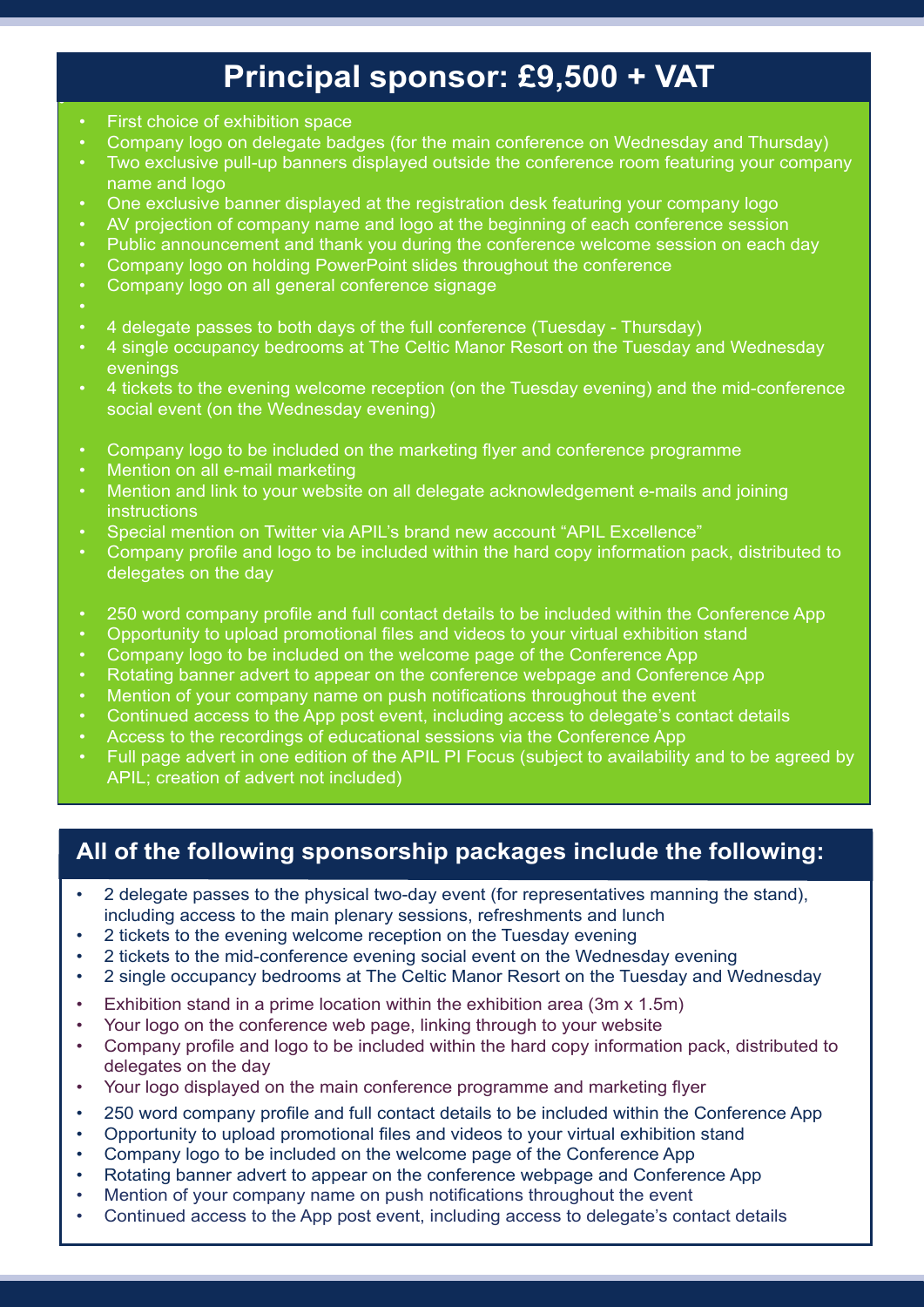## **Principal sponsor: £9,500 + VAT**

- First choice of exhibition space
- Company logo on delegate badges (for the main conference on Wednesday and Thursday)
- Two exclusive pull-up banners displayed outside the conference room featuring your company name and logo
- One exclusive banner displayed at the registration desk featuring your company logo
- AV projection of company name and logo at the beginning of each conference session
- Public announcement and thank you during the conference welcome session on each day
- Company logo on holding PowerPoint slides throughout the conference
- Company logo on all general conference signage
- 

•

- 4 delegate passes to both days of the full conference (Tuesday Thursday)
- 4 single occupancy bedrooms at The Celtic Manor Resort on the Tuesday and Wednesday evenings
- 4 tickets to the evening welcome reception (on the Tuesday evening) and the mid-conference social event (on the Wednesday evening)
- Company logo to be included on the marketing flyer and conference programme
- Mention on all e-mail marketing
- Mention and link to your website on all delegate acknowledgement e-mails and joining **instructions**
- Special mention on Twitter via APIL's brand new account "APIL Excellence"
- Company profile and logo to be included within the hard copy information pack, distributed to delegates on the day
- 250 word company profile and full contact details to be included within the Conference App
- Opportunity to upload promotional files and videos to your virtual exhibition stand
- Company logo to be included on the welcome page of the Conference App
- Rotating banner advert to appear on the conference webpage and Conference App
- Mention of your company name on push notifications throughout the event
- Continued access to the App post event, including access to delegate's contact details
- Access to the recordings of educational sessions via the Conference App
- Full page advert in one edition of the APIL PI Focus (subject to availability and to be agreed by APIL; creation of advert not included)

#### **All of the following sponsorship packages include the following:**

- 2 delegate passes to the physical two-day event (for representatives manning the stand), including access to the main plenary sessions, refreshments and lunch
- 2 tickets to the evening welcome reception on the Tuesday evening
- 2 tickets to the mid-conference evening social event on the Wednesday evening
- 2 single occupancy bedrooms at The Celtic Manor Resort on the Tuesday and Wednesday
- Exhibition stand in a prime location within the exhibition area (3m x 1.5m)
- Your logo on the conference web page, linking through to your website
- Company profile and logo to be included within the hard copy information pack, distributed to delegates on the day
- Your logo displayed on the main conference programme and marketing flyer
- 250 word company profile and full contact details to be included within the Conference App
- Opportunity to upload promotional files and videos to your virtual exhibition stand
- Company logo to be included on the welcome page of the Conference App
- Rotating banner advert to appear on the conference webpage and Conference App
- Mention of your company name on push notifications throughout the event
- Continued access to the App post event, including access to delegate's contact details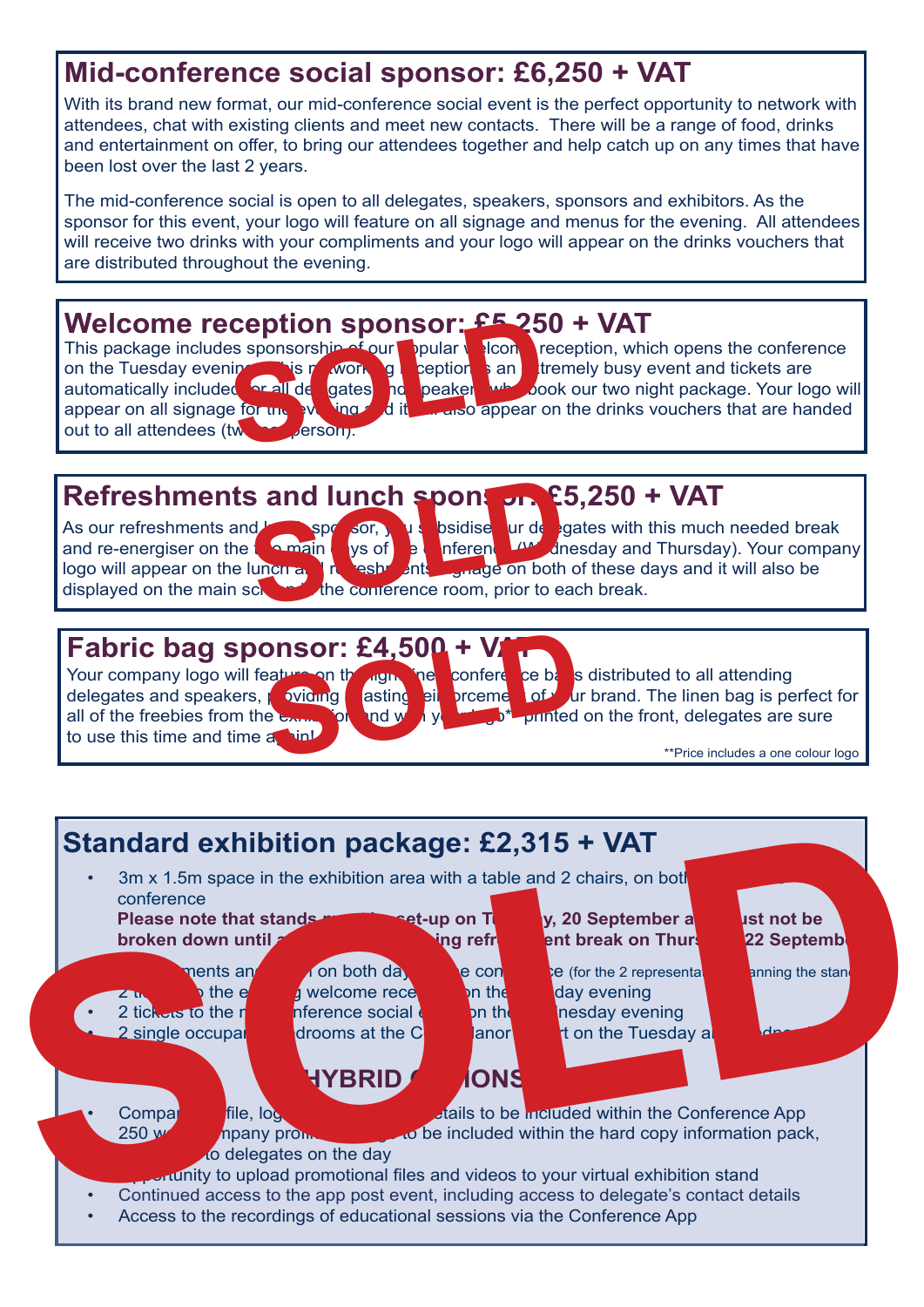### **Mid-conference social sponsor: £6,250 + VAT**

With its brand new format, our mid-conference social event is the perfect opportunity to network with attendees, chat with existing clients and meet new contacts. There will be a range of food, drinks and entertainment on offer, to bring our attendees together and help catch up on any times that have been lost over the last 2 years.

The mid-conference social is open to all delegates, speakers, sponsors and exhibitors. As the sponsor for this event, your logo will feature on all signage and menus for the evening. All attendees will receive two drinks with your compliments and your logo will appear on the drinks vouchers that are distributed throughout the evening.

Welcome reception sponsorship of our ppular sponsorship of our ppular and the Tuesday evening is provided to the sponsorship of the sponsorship of the sponsorship of the sponsorship of the sponsorship of the sponsorship of out to all attendees (two person).

This package includes sponsorship of our popular  $\sqrt{\frac{1}{2}}$  reception, which opens the conference on the Tuesday evening. This networking reption is an extremely busy event and tickets are automatically included or all de gates individual when yook our two night package. Your log and peakers who book our two night package. Your logo will appear on all signage for the evening and it will also appear on the drinks vouchers that are handed

# **Refreshments and lunch sponsor. E5,250 + VAT**<br>As our refreshments and **sponsor. Solution** of **the special of the space of the space of the space of the space of the space of the space of the space of the space of the**

displayed on the main screen in the conference room, prior to each break.



As our refreshments and less sponsor, you subsidise ur de gates with this much needed break<br>and re-energiser on the samain spots of the inference of directions of the share of the same of the same of the and re-energiser on the two main days of the conference (Wednesday and Thursday). Your company logo will appear on the lunch and reason with signage on both of these days and it will also be

**Fabric bag sponsor: £4,500 + V**<br>
Your company logo will feature an the right and the conference be a<br>delegates and speakers, which as a spin and the conference of a printed<br>to use this time and time a sind of the free big to use this time and time and ink



Your company logo will feature on the light line conference bases distributed to all attending<br>delegates and speakers, revioung asting eil procme of archive from the linen bag is per asting eil proement of ur brand. The linen bag is perfect for all of the freebies from the exame for and with your lost printed on the front, delegates are sure

\*\*Price includes a one colour logo